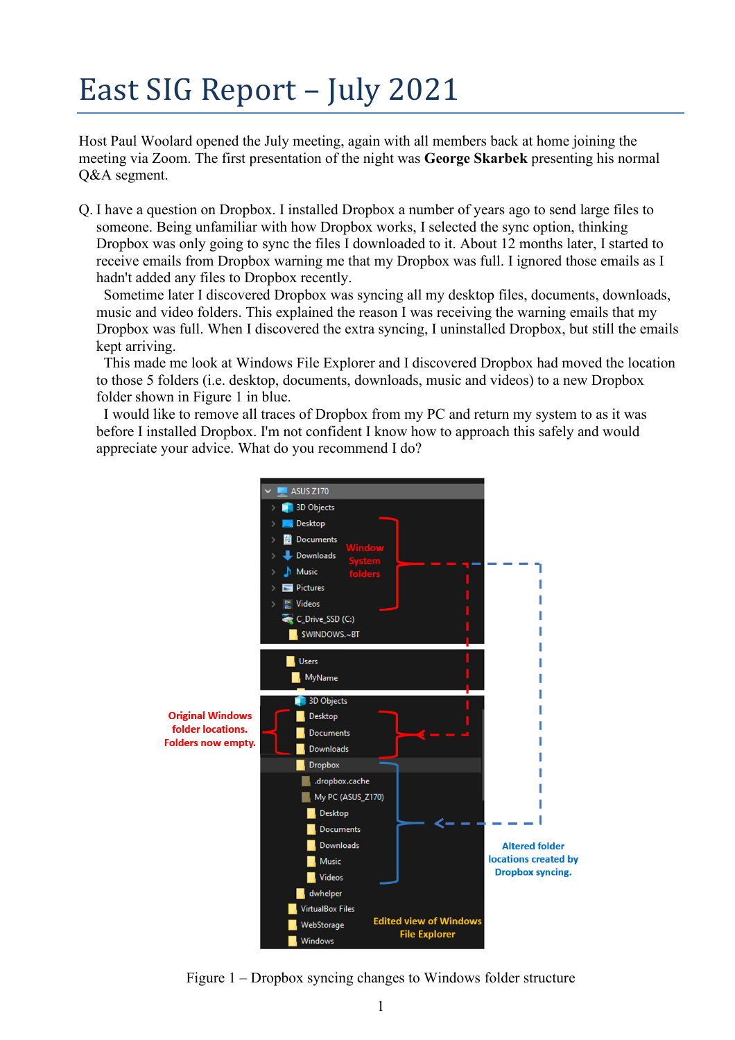## East SIG Report – July 2021

Host Paul Woolard opened the July meeting, again with all members back at home joining the meeting via Zoom. The first presentation of the night was **George Skarbek** presenting his normal Q&A segment.

Q. I have a question on Dropbox. I installed Dropbox a number of years ago to send large files to someone. Being unfamiliar with how Dropbox works, I selected the sync option, thinking Dropbox was only going to sync the files I downloaded to it. About 12 months later, I started to receive emails from Dropbox warning me that my Dropbox was full. I ignored those emails as I hadn't added any files to Dropbox recently.

 Sometime later I discovered Dropbox was syncing all my desktop files, documents, downloads, music and video folders. This explained the reason I was receiving the warning emails that my Dropbox was full. When I discovered the extra syncing, I uninstalled Dropbox, but still the emails kept arriving.

 This made me look at Windows File Explorer and I discovered Dropbox had moved the location to those 5 folders (i.e. desktop, documents, downloads, music and videos) to a new Dropbox folder shown in Figure 1 in blue.

 I would like to remove all traces of Dropbox from my PC and return my system to as it was before I installed Dropbox. I'm not confident I know how to approach this safely and would appreciate your advice. What do you recommend I do?



Figure 1 – Dropbox syncing changes to Windows folder structure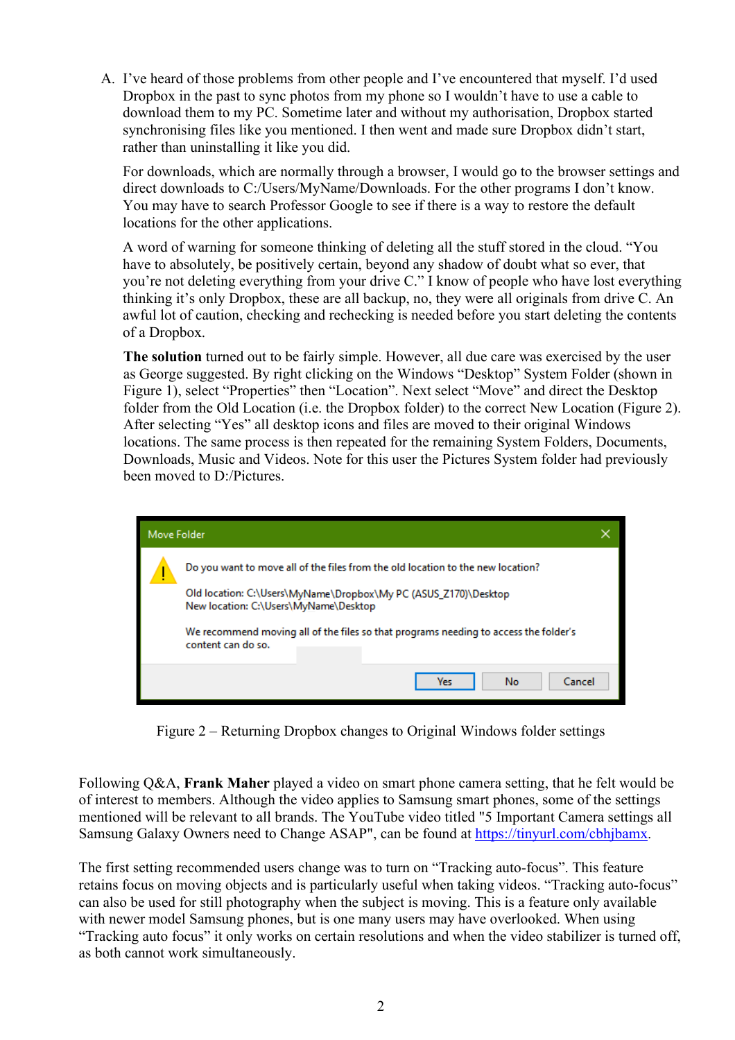A. I've heard of those problems from other people and I've encountered that myself. I'd used Dropbox in the past to sync photos from my phone so I wouldn't have to use a cable to download them to my PC. Sometime later and without my authorisation, Dropbox started synchronising files like you mentioned. I then went and made sure Dropbox didn't start, rather than uninstalling it like you did.

For downloads, which are normally through a browser, I would go to the browser settings and direct downloads to C:/Users/MyName/Downloads. For the other programs I don't know. You may have to search Professor Google to see if there is a way to restore the default locations for the other applications.

A word of warning for someone thinking of deleting all the stuff stored in the cloud. "You have to absolutely, be positively certain, beyond any shadow of doubt what so ever, that you're not deleting everything from your drive C." I know of people who have lost everything thinking it's only Dropbox, these are all backup, no, they were all originals from drive C. An awful lot of caution, checking and rechecking is needed before you start deleting the contents of a Dropbox.

**The solution** turned out to be fairly simple. However, all due care was exercised by the user as George suggested. By right clicking on the Windows "Desktop" System Folder (shown in Figure 1), select "Properties" then "Location". Next select "Move" and direct the Desktop folder from the Old Location (i.e. the Dropbox folder) to the correct New Location (Figure 2). After selecting "Yes" all desktop icons and files are moved to their original Windows locations. The same process is then repeated for the remaining System Folders, Documents, Downloads, Music and Videos. Note for this user the Pictures System folder had previously been moved to D:/Pictures.



Figure 2 – Returning Dropbox changes to Original Windows folder settings

Following Q&A, **Frank Maher** played a video on smart phone camera setting, that he felt would be of interest to members. Although the video applies to Samsung smart phones, some of the settings mentioned will be relevant to all brands. The YouTube video titled "5 Important Camera settings all Samsung Galaxy Owners need to Change ASAP", can be found at https://tinyurl.com/cbhjbamx.

The first setting recommended users change was to turn on "Tracking auto-focus". This feature retains focus on moving objects and is particularly useful when taking videos. "Tracking auto-focus" can also be used for still photography when the subject is moving. This is a feature only available with newer model Samsung phones, but is one many users may have overlooked. When using "Tracking auto focus" it only works on certain resolutions and when the video stabilizer is turned off, as both cannot work simultaneously.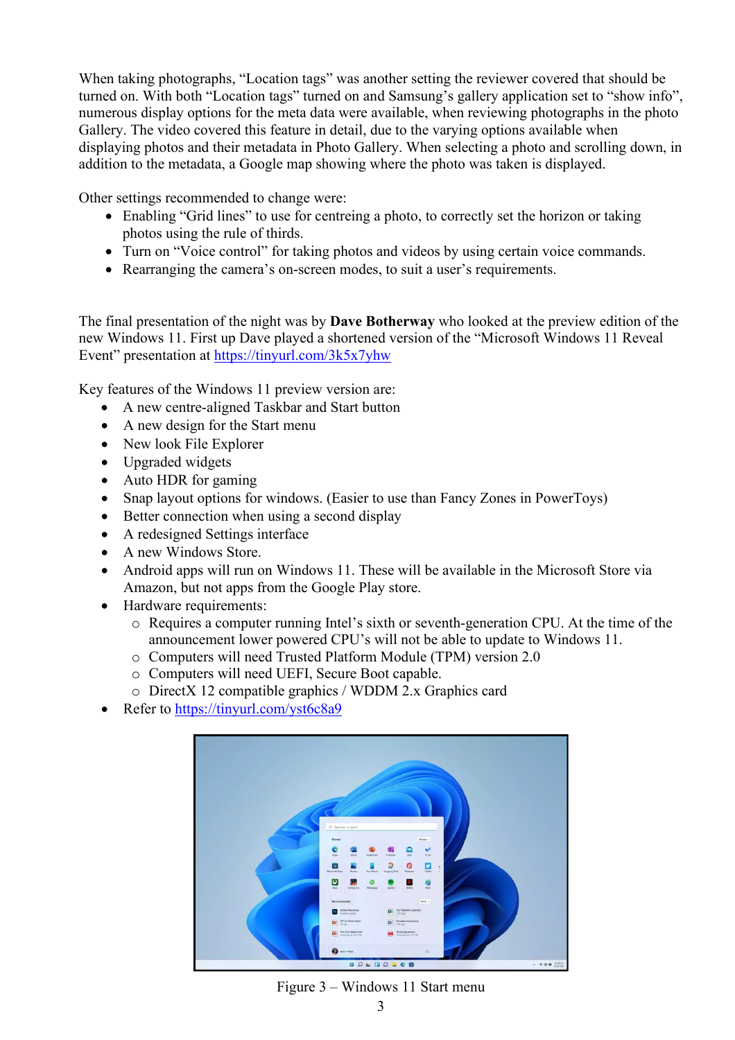When taking photographs, "Location tags" was another setting the reviewer covered that should be turned on. With both "Location tags" turned on and Samsung's gallery application set to "show info", numerous display options for the meta data were available, when reviewing photographs in the photo Gallery. The video covered this feature in detail, due to the varying options available when displaying photos and their metadata in Photo Gallery. When selecting a photo and scrolling down, in addition to the metadata, a Google map showing where the photo was taken is displayed.

Other settings recommended to change were:

- Enabling "Grid lines" to use for centreing a photo, to correctly set the horizon or taking photos using the rule of thirds.
- Turn on "Voice control" for taking photos and videos by using certain voice commands.
- Rearranging the camera's on-screen modes, to suit a user's requirements.

The final presentation of the night was by **Dave Botherway** who looked at the preview edition of the new Windows 11. First up Dave played a shortened version of the "Microsoft Windows 11 Reveal Event" presentation at https://tinyurl.com/3k5x7yhw

Key features of the Windows 11 preview version are:

- A new centre-aligned Taskbar and Start button
- A new design for the Start menu
- New look File Explorer
- Upgraded widgets
- Auto HDR for gaming
- Snap layout options for windows. (Easier to use than Fancy Zones in PowerToys)
- Better connection when using a second display
- A redesigned Settings interface
- A new Windows Store.
- Android apps will run on Windows 11. These will be available in the Microsoft Store via Amazon, but not apps from the Google Play store.
- Hardware requirements:
	- o Requires a computer running Intel's sixth or seventh-generation CPU. At the time of the announcement lower powered CPU's will not be able to update to Windows 11.
	- o Computers will need Trusted Platform Module (TPM) version 2.0
	- o Computers will need UEFI, Secure Boot capable.
	- o DirectX 12 compatible graphics / WDDM 2.x Graphics card
- Refer to https://tinyurl.com/yst6c8a9



Figure 3 – Windows 11 Start menu